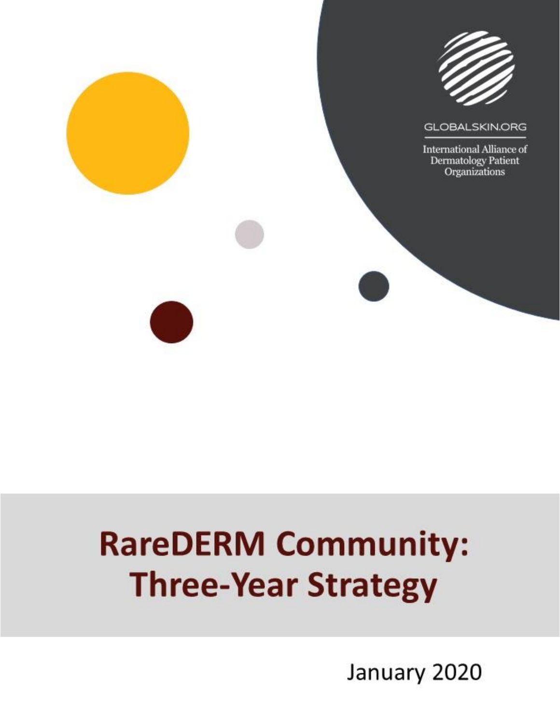

# **RareDERM Community: Three-Year Strategy**

January 2020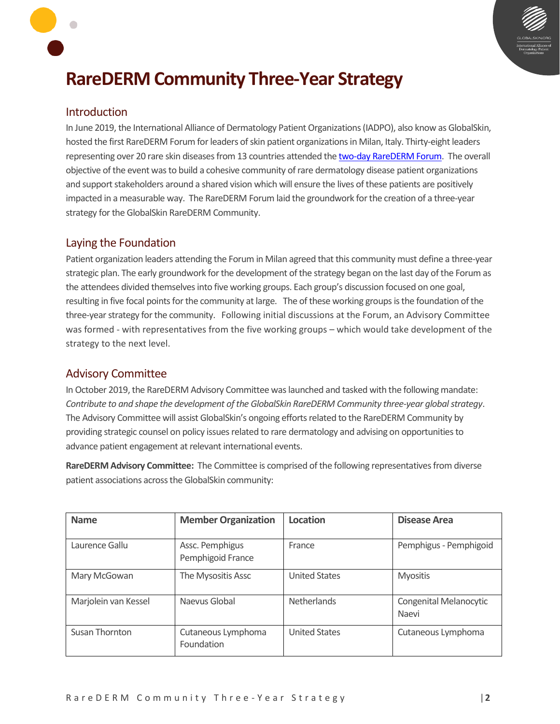

# **RareDERM Community Three-Year Strategy**

#### Introduction

In June 2019, the International Alliance of Dermatology Patient Organizations (IADPO), also know as GlobalSkin, hosted the first RareDERM Forum for leaders of skin patient organizations in Milan, Italy. Thirty-eight leaders representing over 20 rare skin diseases from 13 countries attended th[e two-day RareDERM Forum.](https://globalskin.org/images/2019/09/2019_RareDERM_Forum_Outcomes_Report.pdf) The overall objective of the event was to build a cohesive community of rare dermatology disease patient organizations and support stakeholders around a shared vision which will ensure the lives of these patients are positively impacted in a measurable way. The RareDERM Forum laid the groundwork for the creation of a three-year strategy for the GlobalSkin RareDERM Community.

#### Laying the Foundation

Patient organization leaders attending the Forum in Milan agreed that this community must define a three-year strategic plan. The early groundwork for the development of the strategy began on the last day of the Forum as the attendees divided themselves into five working groups. Each group's discussion focused on one goal, resulting in five focal points for the community at large. The of these working groups isthe foundation of the three-year strategy for the community. Following initial discussions at the Forum, an Advisory Committee was formed - with representatives from the five working groups – which would take development of the strategy to the next level.

#### Advisory Committee

In October 2019, the RareDERM Advisory Committee was launched and tasked with the following mandate: *Contribute to and shape the development of the GlobalSkin RareDERM Community three-year global strategy*. The Advisory Committee will assist GlobalSkin's ongoing efforts related to the RareDERM Community by providing strategic counsel on policy issues related to rare dermatology and advising on opportunities to advance patient engagement at relevant international events.

**RareDERM Advisory Committee:** The Committee is comprised of the following representatives from diverse patient associations across the GlobalSkin community:

| <b>Name</b>          | <b>Member Organization</b>           | Location             | <b>Disease Area</b>             |
|----------------------|--------------------------------------|----------------------|---------------------------------|
| Laurence Gallu       | Assc. Pemphigus<br>Pemphigoid France | France               | Pemphigus - Pemphigoid          |
| Mary McGowan         | The Mysositis Assc                   | <b>United States</b> | <b>Myositis</b>                 |
| Marjolein van Kessel | Naevus Global                        | <b>Netherlands</b>   | Congenital Melanocytic<br>Naevi |
| Susan Thornton       | Cutaneous Lymphoma<br>Foundation     | <b>United States</b> | Cutaneous Lymphoma              |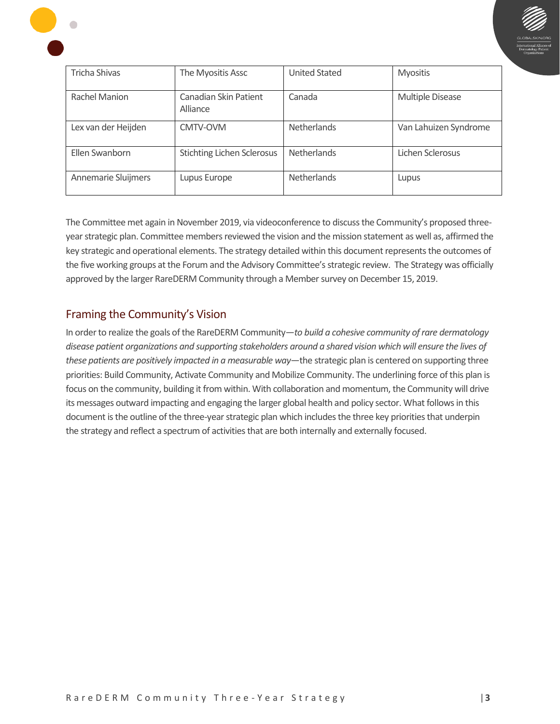

| Tricha Shivas       | The Myositis Assc                 | <b>United Stated</b> | <b>Myositis</b><br>Multiple Disease |  |  |  |
|---------------------|-----------------------------------|----------------------|-------------------------------------|--|--|--|
| Rachel Manion       | Canadian Skin Patient<br>Alliance | Canada               |                                     |  |  |  |
| Lex van der Heijden | CMTV-OVM                          |                      | Van Lahuizen Syndrome               |  |  |  |
| Ellen Swanborn      | <b>Stichting Lichen Sclerosus</b> |                      | Lichen Sclerosus                    |  |  |  |
| Annemarie Sluijmers | Lupus Europe                      | <b>Netherlands</b>   | Lupus                               |  |  |  |

The Committee met again in November 2019, via videoconference to discuss the Community's proposed threeyear strategic plan. Committee members reviewed the vision and the mission statement as well as, affirmed the key strategic and operational elements. The strategy detailed within this document represents the outcomes of the five working groups at the Forum and the Advisory Committee's strategic review. The Strategy was officially approved by the larger RareDERM Community through a Membersurvey on December 15, 2019.

#### Framing the Community's Vision

In order to realize the goals of the RareDERM Community—*to build a cohesive community of rare dermatology disease patient organizations and supporting stakeholders around a shared vision which will ensure the lives of these patients are positively impacted in a measurable way*—the strategic plan is centered on supporting three priorities: Build Community, Activate Community and Mobilize Community. The underlining force of this plan is focus on the community, building it from within. With collaboration and momentum, the Community will drive its messages outward impacting and engaging the larger global health and policy sector. What follows in this document is the outline of the three-year strategic plan which includes the three key priorities that underpin the strategy and reflect a spectrum of activities that are both internally and externally focused.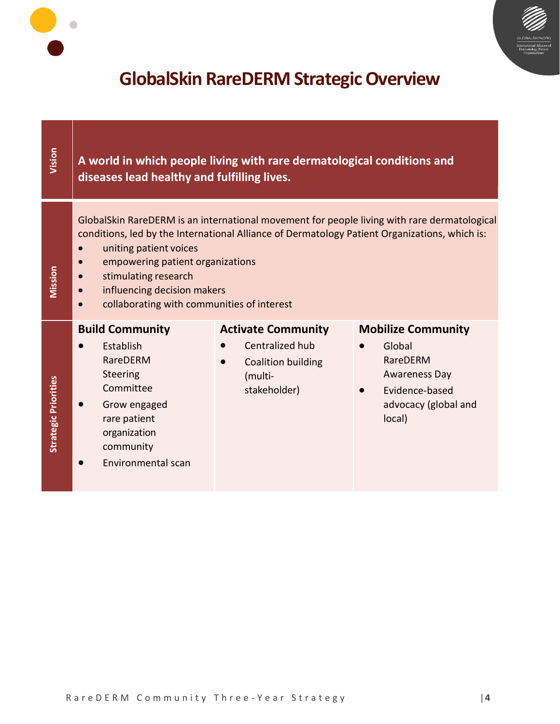

# **GlobalSkin RareDERM Strategic Overview**

 $\bullet$ 

| Vision                      | diseases lead healthy and fulfilling lives.                                                                                                                                                                                                                                                                                                                     | A world in which people living with rare dermatological conditions and                        |                                                                                                                             |  |  |  |  |  |
|-----------------------------|-----------------------------------------------------------------------------------------------------------------------------------------------------------------------------------------------------------------------------------------------------------------------------------------------------------------------------------------------------------------|-----------------------------------------------------------------------------------------------|-----------------------------------------------------------------------------------------------------------------------------|--|--|--|--|--|
| Mission                     | GlobalSkin RareDERM is an international movement for people living with rare dermatological<br>conditions, led by the International Alliance of Dermatology Patient Organizations, which is:<br>uniting patient voices<br>empowering patient organizations<br>stimulating research<br>influencing decision makers<br>collaborating with communities of interest |                                                                                               |                                                                                                                             |  |  |  |  |  |
| <b>Strategic Priorities</b> | <b>Build Community</b><br>Establish<br>RareDERM<br><b>Steering</b><br>Committee<br>Grow engaged<br>rare patient<br>organization<br>community<br>Environmental scan                                                                                                                                                                                              | <b>Activate Community</b><br>Centralized hub<br>Coalition building<br>(multi-<br>stakeholder) | <b>Mobilize Community</b><br>Global<br>RareDERM<br><b>Awareness Day</b><br>Evidence-based<br>advocacy (global and<br>local) |  |  |  |  |  |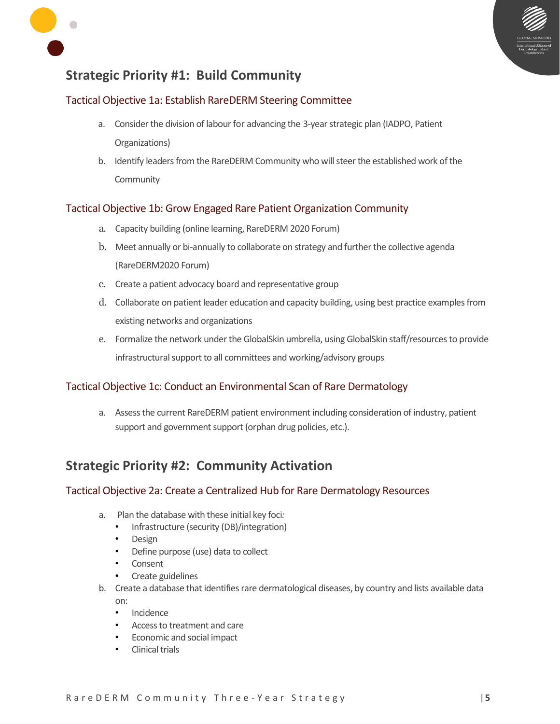



## **Strategic Priority #1: Build Community**

#### Tactical Objective 1a: Establish RareDERM Steering Committee

- a. Consider the division of labour for advancing the 3-yearstrategic plan (IADPO, Patient Organizations)
- b. Identify leaders from the RareDERM Community who will steer the established work of the Community

#### Tactical Objective 1b: Grow Engaged Rare Patient Organization Community

- a. Capacity building (online learning, RareDERM 2020 Forum)
- b. Meet annually or bi-annually to collaborate on strategy and further the collective agenda (RareDERM2020 Forum)
- c. Create a patient advocacy board and representative group
- d. Collaborate on patient leader education and capacity building, using best practice examples from existing networks and organizations
- e. Formalize the network under the GlobalSkin umbrella, using GlobalSkin staff/resources to provide infrastructural support to all committees and working/advisory groups

#### Tactical Objective 1c: Conduct an Environmental Scan of Rare Dermatology

a. Assess the current RareDERM patient environment including consideration of industry, patient support and government support (orphan drug policies, etc.).

## **Strategic Priority #2: Community Activation**

#### Tactical Objective 2a: Create a Centralized Hub for Rare Dermatology Resources

- a. Plan the database with these initial key foci*:* 
	- Infrastructure (security (DB)/integration)
	- Design
	- Define purpose (use) data to collect
	- Consent
	- Create guidelines
- b. Create a database that identifies rare dermatological diseases, by country and lists available data on:
	- Incidence
	- Access to treatment and care
	- Economic and social impact
	- Clinical trials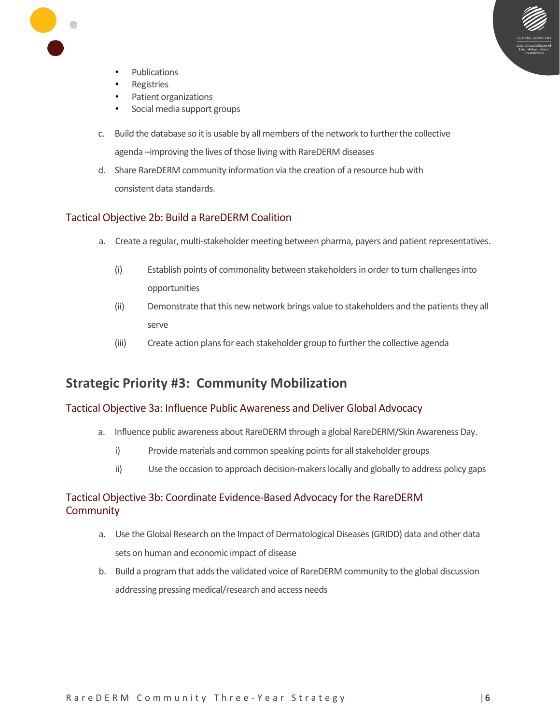

- Publications
- **Registries**
- Patient organizations
- Social media support groups
- c. Build the database so it is usable by all members of the network to further the collective agenda –improving the lives of those living with RareDERM diseases
- d. Share RareDERM community information via the creation of a resource hub with consistent data standards.

#### Tactical Objective 2b: Build a RareDERM Coalition

- a. Create a regular, multi-stakeholder meeting between pharma, payers and patient representatives.
	- (i) Establish points of commonality between stakeholders in order to turn challenges into opportunities
	- (ii) Demonstrate that this new network brings value to stakeholders and the patients they all serve
	- (iii) Create action plans for each stakeholder group to further the collective agenda

### **Strategic Priority #3: Community Mobilization**

#### Tactical Objective 3a: Influence Public Awareness and Deliver Global Advocacy

- a. Influence public awareness about RareDERM through a global RareDERM/Skin Awareness Day.
	- i) Provide materials and common speaking points for all stakeholder groups
	- ii) Use the occasion to approach decision-makers locally and globally to address policy gaps

#### Tactical Objective 3b: Coordinate Evidence-Based Advocacy for the RareDERM **Community**

- a. Use the Global Research on the Impact of Dermatological Diseases (GRIDD) data and other data sets on human and economic impact of disease
- b. Build a program that adds the validated voice of RareDERM community to the global discussion addressing pressing medical/research and access needs